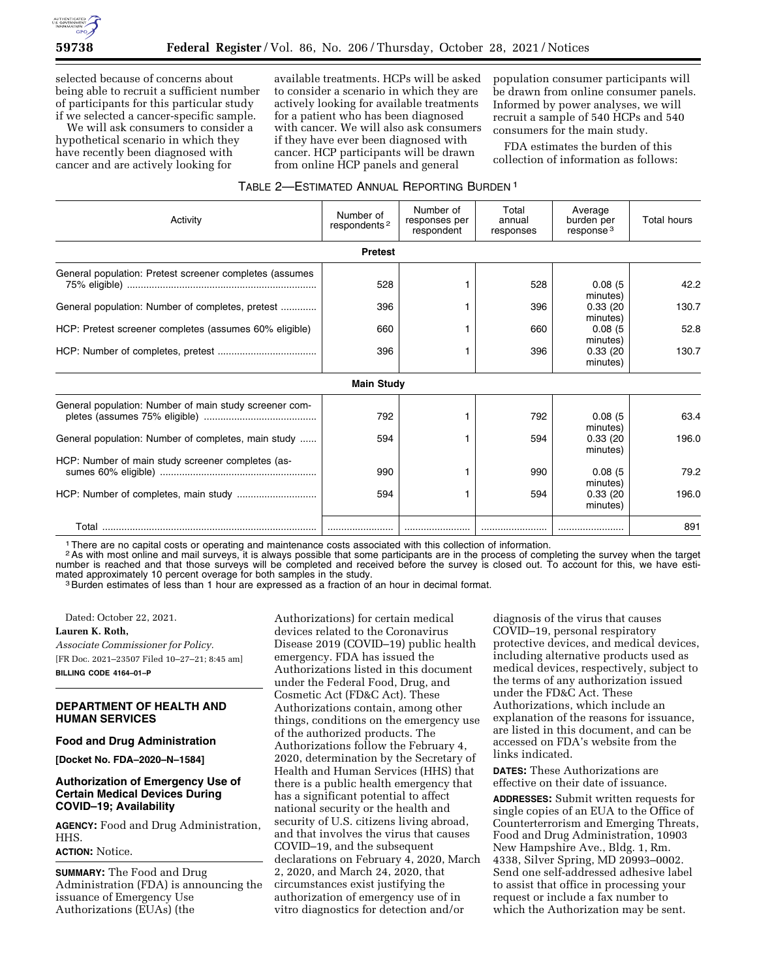

selected because of concerns about being able to recruit a sufficient number of participants for this particular study if we selected a cancer-specific sample.

We will ask consumers to consider a hypothetical scenario in which they have recently been diagnosed with cancer and are actively looking for

available treatments. HCPs will be asked to consider a scenario in which they are actively looking for available treatments for a patient who has been diagnosed with cancer. We will also ask consumers if they have ever been diagnosed with cancer. HCP participants will be drawn from online HCP panels and general

population consumer participants will be drawn from online consumer panels. Informed by power analyses, we will recruit a sample of 540 HCPs and 540 consumers for the main study.

FDA estimates the burden of this collection of information as follows:

## TABLE 2—ESTIMATED ANNUAL REPORTING BURDEN 1

| Activity                                                | Number of<br>respondents <sup>2</sup> | Number of<br>responses per<br>respondent | Total<br>annual<br>responses | Average<br>burden per<br>response <sup>3</sup> | <b>Total hours</b> |
|---------------------------------------------------------|---------------------------------------|------------------------------------------|------------------------------|------------------------------------------------|--------------------|
|                                                         | <b>Pretest</b>                        |                                          |                              |                                                |                    |
| General population: Pretest screener completes (assumes | 528                                   |                                          | 528                          | 0.08(5)<br>minutes)                            | 42.2               |
| General population: Number of completes, pretest        | 396                                   |                                          | 396                          | 0.33(20)<br>minutes)                           | 130.7              |
| HCP: Pretest screener completes (assumes 60% eligible)  | 660                                   |                                          | 660                          | 0.08(5)<br>minutes)                            | 52.8               |
|                                                         | 396                                   |                                          | 396                          | 0.33(20)<br>minutes)                           | 130.7              |
|                                                         | <b>Main Study</b>                     |                                          |                              |                                                |                    |
| General population: Number of main study screener com-  | 792                                   |                                          | 792                          | 0.08(5)<br>minutes)                            | 63.4               |
| General population: Number of completes, main study     | 594                                   |                                          | 594                          | 0.33(20)<br>minutes)                           | 196.0              |
| HCP: Number of main study screener completes (as-       | 990                                   |                                          | 990                          | 0.08(5)<br>minutes)                            | 79.2               |
|                                                         | 594                                   |                                          | 594                          | 0.33(20)<br>minutes)                           | 196.0              |
|                                                         |                                       |                                          |                              |                                                | 891                |

1There are no capital costs or operating and maintenance costs associated with this collection of information.

2As with most online and mail surveys, it is always possible that some participants are in the process of completing the survey when the target number is reached and that those surveys will be completed and received before the survey is closed out. To account for this, we have estimated approximately 10 percent overage for both samples in the study.<br><sup>3</sup>Burden estimates of less than 1 hour are expressed as a fraction of an hour in decimal format.

Dated: October 22, 2021.

**Lauren K. Roth,** 

*Associate Commissioner for Policy.*  [FR Doc. 2021–23507 Filed 10–27–21; 8:45 am] **BILLING CODE 4164–01–P** 

## **DEPARTMENT OF HEALTH AND HUMAN SERVICES**

## **Food and Drug Administration**

**[Docket No. FDA–2020–N–1584]** 

## **Authorization of Emergency Use of Certain Medical Devices During COVID–19; Availability**

**AGENCY:** Food and Drug Administration, HHS.

### **ACTION:** Notice.

**SUMMARY:** The Food and Drug Administration (FDA) is announcing the issuance of Emergency Use Authorizations (EUAs) (the

Authorizations) for certain medical devices related to the Coronavirus Disease 2019 (COVID–19) public health emergency. FDA has issued the Authorizations listed in this document under the Federal Food, Drug, and Cosmetic Act (FD&C Act). These Authorizations contain, among other things, conditions on the emergency use of the authorized products. The Authorizations follow the February 4, 2020, determination by the Secretary of Health and Human Services (HHS) that there is a public health emergency that has a significant potential to affect national security or the health and security of U.S. citizens living abroad, and that involves the virus that causes COVID–19, and the subsequent declarations on February 4, 2020, March 2, 2020, and March 24, 2020, that circumstances exist justifying the authorization of emergency use of in vitro diagnostics for detection and/or

diagnosis of the virus that causes COVID–19, personal respiratory protective devices, and medical devices, including alternative products used as medical devices, respectively, subject to the terms of any authorization issued under the FD&C Act. These Authorizations, which include an explanation of the reasons for issuance, are listed in this document, and can be accessed on FDA's website from the links indicated.

**DATES:** These Authorizations are effective on their date of issuance.

**ADDRESSES:** Submit written requests for single copies of an EUA to the Office of Counterterrorism and Emerging Threats, Food and Drug Administration, 10903 New Hampshire Ave., Bldg. 1, Rm. 4338, Silver Spring, MD 20993–0002. Send one self-addressed adhesive label to assist that office in processing your request or include a fax number to which the Authorization may be sent.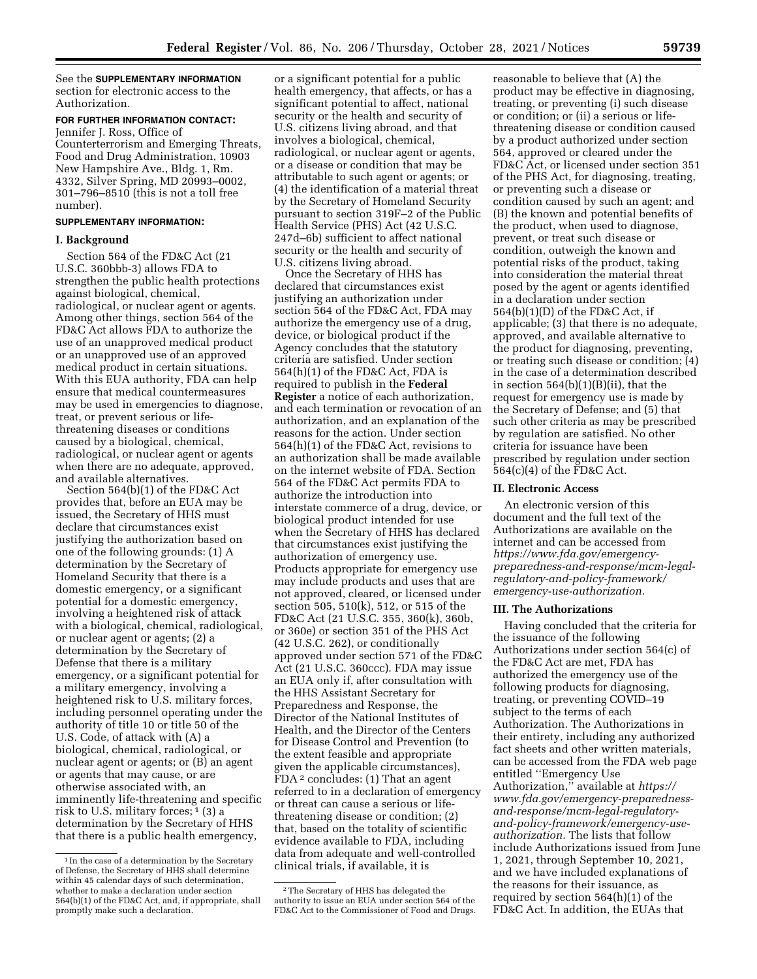See the **SUPPLEMENTARY INFORMATION** section for electronic access to the Authorization.

# **FOR FURTHER INFORMATION CONTACT:**

Jennifer J. Ross, Office of Counterterrorism and Emerging Threats, Food and Drug Administration, 10903 New Hampshire Ave., Bldg. 1, Rm. 4332, Silver Spring, MD 20993–0002, 301–796–8510 (this is not a toll free number).

## **SUPPLEMENTARY INFORMATION:**

#### **I. Background**

Section 564 of the FD&C Act (21 U.S.C. 360bbb-3) allows FDA to strengthen the public health protections against biological, chemical, radiological, or nuclear agent or agents. Among other things, section 564 of the FD&C Act allows FDA to authorize the use of an unapproved medical product or an unapproved use of an approved medical product in certain situations. With this EUA authority, FDA can help ensure that medical countermeasures may be used in emergencies to diagnose, treat, or prevent serious or lifethreatening diseases or conditions caused by a biological, chemical, radiological, or nuclear agent or agents when there are no adequate, approved, and available alternatives.

Section 564(b)(1) of the FD&C Act provides that, before an EUA may be issued, the Secretary of HHS must declare that circumstances exist justifying the authorization based on one of the following grounds: (1) A determination by the Secretary of Homeland Security that there is a domestic emergency, or a significant potential for a domestic emergency, involving a heightened risk of attack with a biological, chemical, radiological, or nuclear agent or agents; (2) a determination by the Secretary of Defense that there is a military emergency, or a significant potential for a military emergency, involving a heightened risk to U.S. military forces, including personnel operating under the authority of title 10 or title 50 of the U.S. Code, of attack with (A) a biological, chemical, radiological, or nuclear agent or agents; or (B) an agent or agents that may cause, or are otherwise associated with, an imminently life-threatening and specific risk to U.S. military forces; <sup>1</sup> (3) a determination by the Secretary of HHS that there is a public health emergency,

or a significant potential for a public health emergency, that affects, or has a significant potential to affect, national security or the health and security of U.S. citizens living abroad, and that involves a biological, chemical, radiological, or nuclear agent or agents, or a disease or condition that may be attributable to such agent or agents; or (4) the identification of a material threat by the Secretary of Homeland Security pursuant to section 319F–2 of the Public Health Service (PHS) Act (42 U.S.C. 247d–6b) sufficient to affect national security or the health and security of U.S. citizens living abroad.

Once the Secretary of HHS has declared that circumstances exist justifying an authorization under section 564 of the FD&C Act, FDA may authorize the emergency use of a drug, device, or biological product if the Agency concludes that the statutory criteria are satisfied. Under section 564(h)(1) of the FD&C Act, FDA is required to publish in the **Federal Register** a notice of each authorization, and each termination or revocation of an authorization, and an explanation of the reasons for the action. Under section 564(h)(1) of the FD&C Act, revisions to an authorization shall be made available on the internet website of FDA. Section 564 of the FD&C Act permits FDA to authorize the introduction into interstate commerce of a drug, device, or biological product intended for use when the Secretary of HHS has declared that circumstances exist justifying the authorization of emergency use. Products appropriate for emergency use may include products and uses that are not approved, cleared, or licensed under section 505, 510(k), 512, or 515 of the FD&C Act (21 U.S.C. 355, 360(k), 360b, or 360e) or section 351 of the PHS Act (42 U.S.C. 262), or conditionally approved under section 571 of the FD&C Act (21 U.S.C. 360ccc). FDA may issue an EUA only if, after consultation with the HHS Assistant Secretary for Preparedness and Response, the Director of the National Institutes of Health, and the Director of the Centers for Disease Control and Prevention (to the extent feasible and appropriate given the applicable circumstances), FDA 2 concludes: (1) That an agent referred to in a declaration of emergency or threat can cause a serious or lifethreatening disease or condition; (2) that, based on the totality of scientific evidence available to FDA, including data from adequate and well-controlled clinical trials, if available, it is

reasonable to believe that (A) the product may be effective in diagnosing, treating, or preventing (i) such disease or condition; or (ii) a serious or lifethreatening disease or condition caused by a product authorized under section 564, approved or cleared under the FD&C Act, or licensed under section 351 of the PHS Act, for diagnosing, treating, or preventing such a disease or condition caused by such an agent; and (B) the known and potential benefits of the product, when used to diagnose, prevent, or treat such disease or condition, outweigh the known and potential risks of the product, taking into consideration the material threat posed by the agent or agents identified in a declaration under section 564(b)(1)(D) of the FD&C Act, if applicable; (3) that there is no adequate, approved, and available alternative to the product for diagnosing, preventing, or treating such disease or condition; (4) in the case of a determination described in section  $564(b)(1)(B)(ii)$ , that the request for emergency use is made by the Secretary of Defense; and (5) that such other criteria as may be prescribed by regulation are satisfied. No other criteria for issuance have been prescribed by regulation under section 564(c)(4) of the FD&C Act.

#### **II. Electronic Access**

An electronic version of this document and the full text of the Authorizations are available on the internet and can be accessed from *[https://www.fda.gov/emergency](https://www.fda.gov/emergency-preparedness-and-response/mcm-legal-regulatory-and-policy-framework/emergency-use-authorization)[preparedness-and-response/mcm-legal](https://www.fda.gov/emergency-preparedness-and-response/mcm-legal-regulatory-and-policy-framework/emergency-use-authorization)[regulatory-and-policy-framework/](https://www.fda.gov/emergency-preparedness-and-response/mcm-legal-regulatory-and-policy-framework/emergency-use-authorization)  [emergency-use-authorization.](https://www.fda.gov/emergency-preparedness-and-response/mcm-legal-regulatory-and-policy-framework/emergency-use-authorization)* 

#### **III. The Authorizations**

Having concluded that the criteria for the issuance of the following Authorizations under section 564(c) of the FD&C Act are met, FDA has authorized the emergency use of the following products for diagnosing, treating, or preventing COVID–19 subject to the terms of each Authorization. The Authorizations in their entirety, including any authorized fact sheets and other written materials, can be accessed from the FDA web page entitled ''Emergency Use Authorization,'' available at *[https://](https://www.fda.gov/emergency-preparedness-and-response/mcm-legal-regulatory-and-policy-framework/emergency-use-authorization) [www.fda.gov/emergency-preparedness](https://www.fda.gov/emergency-preparedness-and-response/mcm-legal-regulatory-and-policy-framework/emergency-use-authorization)[and-response/mcm-legal-regulatory](https://www.fda.gov/emergency-preparedness-and-response/mcm-legal-regulatory-and-policy-framework/emergency-use-authorization)[and-policy-framework/emergency-use](https://www.fda.gov/emergency-preparedness-and-response/mcm-legal-regulatory-and-policy-framework/emergency-use-authorization)[authorization](https://www.fda.gov/emergency-preparedness-and-response/mcm-legal-regulatory-and-policy-framework/emergency-use-authorization).* The lists that follow include Authorizations issued from June 1, 2021, through September 10, 2021, and we have included explanations of the reasons for their issuance, as required by section 564(h)(1) of the FD&C Act. In addition, the EUAs that

<sup>&</sup>lt;sup>1</sup> In the case of a determination by the Secretary of Defense, the Secretary of HHS shall determine within 45 calendar days of such determination, whether to make a declaration under section 564(b)(1) of the FD&C Act, and, if appropriate, shall promptly make such a declaration.

<sup>2</sup>The Secretary of HHS has delegated the authority to issue an EUA under section 564 of the FD&C Act to the Commissioner of Food and Drugs.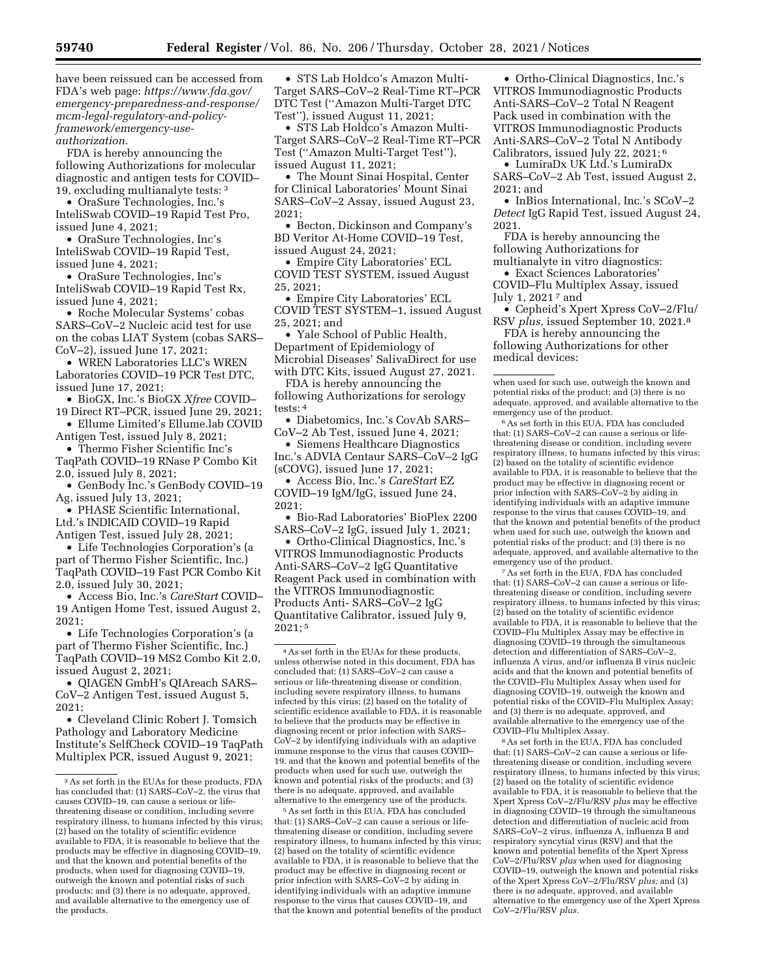have been reissued can be accessed from FDA's web page: *[https://www.fda.gov/](https://www.fda.gov/emergency-preparedness-and-response/mcm-legal-regulatory-and-policy-framework/emergency-use-authorization)  [emergency-preparedness-and-response/](https://www.fda.gov/emergency-preparedness-and-response/mcm-legal-regulatory-and-policy-framework/emergency-use-authorization)  [mcm-legal-regulatory-and-policy](https://www.fda.gov/emergency-preparedness-and-response/mcm-legal-regulatory-and-policy-framework/emergency-use-authorization)[framework/emergency-use](https://www.fda.gov/emergency-preparedness-and-response/mcm-legal-regulatory-and-policy-framework/emergency-use-authorization)[authorization.](https://www.fda.gov/emergency-preparedness-and-response/mcm-legal-regulatory-and-policy-framework/emergency-use-authorization)* 

FDA is hereby announcing the following Authorizations for molecular diagnostic and antigen tests for COVID– 19, excluding multianalyte tests: 3

• OraSure Technologies, Inc.'s InteliSwab COVID–19 Rapid Test Pro, issued June 4, 2021;

• OraSure Technologies, Inc's InteliSwab COVID–19 Rapid Test, issued June 4, 2021;

• OraSure Technologies, Inc's InteliSwab COVID–19 Rapid Test Rx, issued June 4, 2021;

• Roche Molecular Systems' cobas SARS–CoV–2 Nucleic acid test for use on the cobas LIAT System (cobas SARS– CoV–2), issued June 17, 2021;

• WREN Laboratories LLC's WREN Laboratories COVID–19 PCR Test DTC, issued June 17, 2021;

- BioGX, Inc.'s BioGX *Xfree* COVID– 19 Direct RT–PCR, issued June 29, 2021;
- Ellume Limited's Ellume.lab COVID Antigen Test, issued July 8, 2021;
- Thermo Fisher Scientific Inc's TaqPath COVID–19 RNase P Combo Kit 2.0, issued July 8, 2021;

• GenBody Inc.'s GenBody COVID–19

Ag, issued July 13, 2021; • PHASE Scientific International,

Ltd.'s INDICAID COVID–19 Rapid Antigen Test, issued July 28, 2021;

• Life Technologies Corporation's (a part of Thermo Fisher Scientific, Inc.) TaqPath COVID–19 Fast PCR Combo Kit 2.0, issued July 30, 2021;

• Access Bio, Inc.'s *CareStart* COVID– 19 Antigen Home Test, issued August 2, 2021;

• Life Technologies Corporation's (a part of Thermo Fisher Scientific, Inc.) TaqPath COVID–19 MS2 Combo Kit 2.0, issued August 2, 2021;

• QIAGEN GmbH's QIAreach SARS– CoV–2 Antigen Test, issued August 5, 2021;

• Cleveland Clinic Robert J. Tomsich Pathology and Laboratory Medicine Institute's SelfCheck COVID–19 TaqPath Multiplex PCR, issued August 9, 2021;

• STS Lab Holdco's Amazon Multi-Target SARS–CoV–2 Real-Time RT–PCR DTC Test (''Amazon Multi-Target DTC Test''), issued August 11, 2021;

• STS Lab Holdco's Amazon Multi-Target SARS–CoV–2 Real-Time RT–PCR Test (''Amazon Multi-Target Test''), issued August 11, 2021;

• The Mount Sinai Hospital, Center for Clinical Laboratories' Mount Sinai SARS–CoV–2 Assay, issued August 23, 2021;

• Becton, Dickinson and Company's BD Veritor At-Home COVID–19 Test, issued August 24, 2021;

• Empire City Laboratories' ECL COVID TEST SYSTEM, issued August 25, 2021;

• Empire City Laboratories' ECL COVID TEST SYSTEM–1, issued August 25, 2021; and

• Yale School of Public Health, Department of Epidemiology of Microbial Diseases' SalivaDirect for use with DTC Kits, issued August 27, 2021.

FDA is hereby announcing the following Authorizations for serology tests: 4

• Diabetomics, Inc.'s CovAb SARS– CoV–2 Ab Test, issued June 4, 2021;

• Siemens Healthcare Diagnostics Inc.'s ADVIA Centaur SARS–CoV–2 IgG (sCOVG), issued June 17, 2021;

• Access Bio, Inc.'s *CareStart* EZ COVID–19 IgM/IgG, issued June 24, 2021;

• Bio-Rad Laboratories' BioPlex 2200 SARS–CoV–2 IgG, issued July 1, 2021;

• Ortho-Clinical Diagnostics, Inc.'s VITROS Immunodiagnostic Products Anti-SARS–CoV–2 IgG Quantitative Reagent Pack used in combination with the VITROS Immunodiagnostic Products Anti- SARS–CoV–2 IgG Quantitative Calibrator, issued July 9,  $2021:5$ 

4As set forth in the EUAs for these products, unless otherwise noted in this document, FDA has concluded that: (1) SARS–CoV–2 can cause a serious or life-threatening disease or condition, including severe respiratory illness, to humans infected by this virus; (2) based on the totality of scientific evidence available to FDA, it is reasonable to believe that the products may be effective in diagnosing recent or prior infection with SARS– CoV–2 by identifying individuals with an adaptive immune response to the virus that causes COVID– 19, and that the known and potential benefits of the products when used for such use, outweigh the known and potential risks of the products; and (3) there is no adequate, approved, and available alternative to the emergency use of the products.

5As set forth in this EUA, FDA has concluded that: (1) SARS–CoV–2 can cause a serious or lifethreatening disease or condition, including severe respiratory illness, to humans infected by this virus; (2) based on the totality of scientific evidence available to FDA, it is reasonable to believe that the product may be effective in diagnosing recent or prior infection with SARS–CoV–2 by aiding in identifying individuals with an adaptive immune response to the virus that causes COVID–19, and that the known and potential benefits of the product

• Ortho-Clinical Diagnostics, Inc.'s VITROS Immunodiagnostic Products Anti-SARS–CoV–2 Total N Reagent Pack used in combination with the VITROS Immunodiagnostic Products Anti-SARS–CoV–2 Total N Antibody Calibrators, issued July 22, 2021; 6

• LumiraDx UK Ltd.'s LumiraDx SARS–CoV–2 Ab Test, issued August 2, 2021; and

• InBios International, Inc.'s SCoV–2 *Detect* IgG Rapid Test, issued August 24, 2021.

FDA is hereby announcing the following Authorizations for multianalyte in vitro diagnostics:

• Exact Sciences Laboratories' COVID–Flu Multiplex Assay, issued

July 1, 2021<sup>7</sup> and

• Cepheid's Xpert Xpress CoV–2/Flu/ RSV *plus,* issued September 10, 2021.8

FDA is hereby announcing the following Authorizations for other medical devices:

6As set forth in this EUA, FDA has concluded that: (1) SARS–CoV–2 can cause a serious or lifethreatening disease or condition, including severe respiratory illness, to humans infected by this virus; (2) based on the totality of scientific evidence available to FDA, it is reasonable to believe that the product may be effective in diagnosing recent or prior infection with SARS–CoV–2 by aiding in identifying individuals with an adaptive immune response to the virus that causes COVID–19, and that the known and potential benefits of the product when used for such use, outweigh the known and potential risks of the product; and (3) there is no adequate, approved, and available alternative to the emergency use of the product.

7As set forth in the EUA, FDA has concluded that: (1) SARS–CoV–2 can cause a serious or lifethreatening disease or condition, including severe respiratory illness, to humans infected by this virus; (2) based on the totality of scientific evidence available to FDA, it is reasonable to believe that the COVID–Flu Multiplex Assay may be effective in diagnosing COVID–19 through the simultaneous detection and differentiation of SARS–CoV–2, influenza A virus, and/or influenza B virus nucleic acids and that the known and potential benefits of the COVID–Flu Multiplex Assay when used for diagnosing COVID–19, outweigh the known and potential risks of the COVID–Flu Multiplex Assay; and (3) there is no adequate, approved, and available alternative to the emergency use of the COVID–Flu Multiplex Assay.

8As set forth in the EUA, FDA has concluded that: (1) SARS–CoV–2 can cause a serious or lifethreatening disease or condition, including severe respiratory illness, to humans infected by this virus; (2) based on the totality of scientific evidence available to FDA, it is reasonable to believe that the Xpert Xpress CoV–2/Flu/RSV *plus* may be effective in diagnosing COVID–19 through the simultaneous detection and differentiation of nucleic acid from SARS–CoV–2 virus, influenza A, influenza B and respiratory syncytial virus (RSV) and that the known and potential benefits of the Xpert Xpress CoV–2/Flu/RSV *plus* when used for diagnosing COVID–19, outweigh the known and potential risks of the Xpert Xpress CoV–2/Flu/RSV *plus;* and (3) there is no adequate, approved, and available alternative to the emergency use of the Xpert Xpress CoV–2/Flu/RSV *plus.* 

<sup>3</sup>As set forth in the EUAs for these products, FDA has concluded that: (1) SARS–CoV–2, the virus that causes COVID–19, can cause a serious or lifethreatening disease or condition, including severe respiratory illness, to humans infected by this virus; (2) based on the totality of scientific evidence available to FDA, it is reasonable to believe that the products may be effective in diagnosing COVID–19, and that the known and potential benefits of the products, when used for diagnosing COVID–19, outweigh the known and potential risks of such products; and (3) there is no adequate, approved, and available alternative to the emergency use of the products.

when used for such use, outweigh the known and potential risks of the product; and (3) there is no adequate, approved, and available alternative to the emergency use of the product.